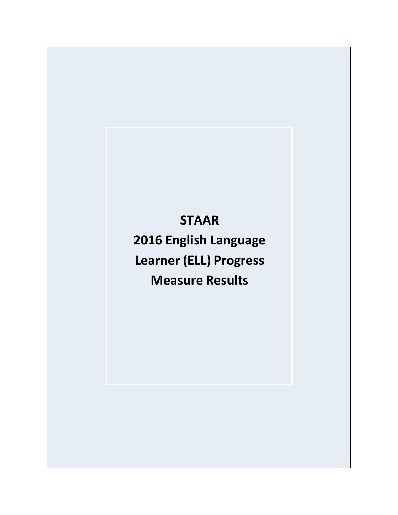# **STAAR**

**2016 English Language Learner (ELL) Progress Measure Results**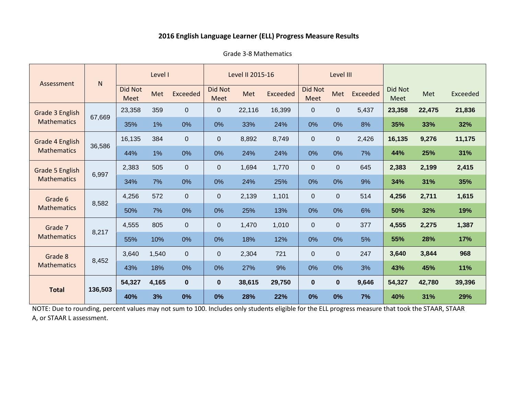#### Grade 3-8 Mathematics

| Assessment                            | $\mathsf{N}$ | Level I         |       |              |                               | Level II 2015-16 |          | Level III              |             |          |                 |        |          |
|---------------------------------------|--------------|-----------------|-------|--------------|-------------------------------|------------------|----------|------------------------|-------------|----------|-----------------|--------|----------|
|                                       |              | Did Not<br>Meet | Met   | Exceeded     | <b>Did Not</b><br><b>Meet</b> | Met              | Exceeded | Did Not<br><b>Meet</b> | Met         | Exceeded | Did Not<br>Meet | Met    | Exceeded |
| Grade 3 English<br><b>Mathematics</b> | 67,669       | 23,358          | 359   | $\Omega$     | $\mathbf{0}$                  | 22,116           | 16,399   | $\mathbf{0}$           | $\mathbf 0$ | 5,437    | 23,358          | 22,475 | 21,836   |
|                                       |              | 35%             | 1%    | 0%           | 0%                            | 33%              | 24%      | 0%                     | 0%          | 8%       | 35%             | 33%    | 32%      |
| Grade 4 English<br><b>Mathematics</b> |              | 16,135          | 384   | $\mathbf 0$  | $\mathbf{0}$                  | 8,892            | 8,749    | $\mathbf{0}$           | $\mathbf 0$ | 2,426    | 16,135          | 9,276  | 11,175   |
|                                       | 36,586       | 44%             | 1%    | 0%           | 0%                            | 24%              | 24%      | 0%                     | 0%          | 7%       | 44%             | 25%    | 31%      |
| Grade 5 English<br><b>Mathematics</b> | 6,997        | 2,383           | 505   | $\mathbf 0$  | $\mathbf{0}$                  | 1,694            | 1,770    | $\mathbf 0$            | $\pmb{0}$   | 645      | 2,383           | 2,199  | 2,415    |
|                                       |              | 34%             | 7%    | 0%           | 0%                            | 24%              | 25%      | 0%                     | 0%          | 9%       | 34%             | 31%    | 35%      |
| Grade 6                               | 8,582        | 4,256           | 572   | $\Omega$     | $\Omega$                      | 2,139            | 1,101    | $\mathbf 0$            | $\mathbf 0$ | 514      | 4,256           | 2,711  | 1,615    |
| <b>Mathematics</b>                    |              | 50%             | 7%    | 0%           | 0%                            | 25%              | 13%      | 0%                     | 0%          | 6%       | 50%             | 32%    | 19%      |
| Grade 7                               |              | 4,555           | 805   | $\Omega$     | $\Omega$                      | 1,470            | 1,010    | $\overline{0}$         | $\mathbf 0$ | 377      | 4,555           | 2,275  | 1,387    |
| <b>Mathematics</b>                    | 8,217        | 55%             | 10%   | 0%           | 0%                            | 18%              | 12%      | 0%                     | 0%          | 5%       | 55%             | 28%    | 17%      |
| Grade 8                               |              | 3,640           | 1,540 | $\mathbf{0}$ | $\mathbf{0}$                  | 2,304            | 721      | 0                      | $\mathbf 0$ | 247      | 3,640           | 3,844  | 968      |
| <b>Mathematics</b>                    | 8,452        | 43%             | 18%   | 0%           | 0%                            | 27%              | 9%       | 0%                     | 0%          | 3%       | 43%             | 45%    | 11%      |
|                                       |              | 54,327          | 4,165 | $\mathbf{0}$ | $\bf{0}$                      | 38,615           | 29,750   | $\bf{0}$               | $\bf{0}$    | 9,646    | 54,327          | 42,780 | 39,396   |
| <b>Total</b>                          | 136,503      | 40%             | 3%    | 0%           | 0%                            | 28%              | 22%      | 0%                     | 0%          | 7%       | 40%             | 31%    | 29%      |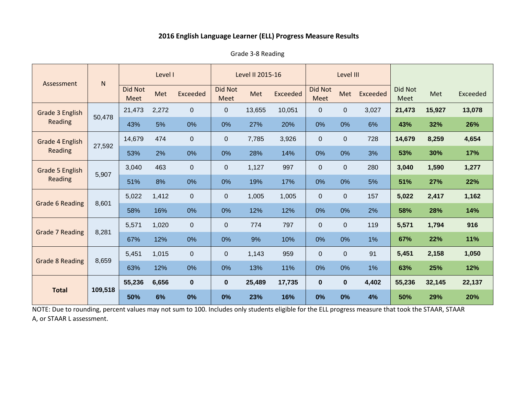Grade 3-8 Reading

| Assessment                        | ${\sf N}$ | Level I                |       |              | Level II 2015-16 |        |                 |                        | Level III      |                 |                 |        |          |
|-----------------------------------|-----------|------------------------|-------|--------------|------------------|--------|-----------------|------------------------|----------------|-----------------|-----------------|--------|----------|
|                                   |           | Did Not<br><b>Meet</b> | Met   | Exceeded     | Did Not<br>Meet  | Met    | <b>Exceeded</b> | <b>Did Not</b><br>Meet | Met            | <b>Exceeded</b> | Did Not<br>Meet | Met    | Exceeded |
| Grade 3 English                   |           | 21,473                 | 2,272 | $\mathbf{0}$ | $\overline{0}$   | 13,655 | 10,051          | $\Omega$               | $\overline{0}$ | 3,027           | 21,473          | 15,927 | 13,078   |
| <b>Reading</b>                    | 50,478    | 43%                    | 5%    | 0%           | 0%               | 27%    | 20%             | 0%                     | 0%             | 6%              | 43%             | 32%    | 26%      |
| Grade 4 English                   |           | 14,679                 | 474   | $\Omega$     | $\overline{0}$   | 7,785  | 3,926           | $\Omega$               | $\Omega$       | 728             | 14,679          | 8,259  | 4,654    |
| Reading                           | 27,592    | 53%                    | 2%    | 0%           | 0%               | 28%    | 14%             | 0%                     | 0%             | 3%              | 53%             | 30%    | 17%      |
| Grade 5 English<br><b>Reading</b> | 5,907     | 3,040                  | 463   | $\mathbf 0$  | $\boldsymbol{0}$ | 1,127  | 997             | $\Omega$               | $\overline{0}$ | 280             | 3,040           | 1,590  | 1,277    |
|                                   |           | 51%                    | 8%    | 0%           | 0%               | 19%    | 17%             | 0%                     | 0%             | 5%              | 51%             | 27%    | 22%      |
|                                   | 8,601     | 5,022                  | 1,412 | $\Omega$     | $\overline{0}$   | 1,005  | 1,005           | $\Omega$               | $\Omega$       | 157             | 5,022           | 2,417  | 1,162    |
| <b>Grade 6 Reading</b>            |           | 58%                    | 16%   | 0%           | 0%               | 12%    | 12%             | 0%                     | 0%             | 2%              | 58%             | 28%    | 14%      |
|                                   |           | 5,571                  | 1,020 | $\mathbf 0$  | $\overline{0}$   | 774    | 797             | $\overline{0}$         | $\Omega$       | 119             | 5,571           | 1,794  | 916      |
| <b>Grade 7 Reading</b>            | 8,281     | 67%                    | 12%   | 0%           | 0%               | 9%     | 10%             | 0%                     | 0%             | 1%              | 67%             | 22%    | 11%      |
|                                   |           | 5,451                  | 1,015 | $\mathbf 0$  | $\overline{0}$   | 1,143  | 959             | $\Omega$               | $\Omega$       | 91              | 5,451           | 2,158  | 1,050    |
| <b>Grade 8 Reading</b>            | 8,659     | 63%                    | 12%   | 0%           | 0%               | 13%    | 11%             | 0%                     | 0%             | 1%              | 63%             | 25%    | 12%      |
| <b>Total</b>                      |           | 55,236                 | 6,656 | $\mathbf{0}$ | $\bf{0}$         | 25,489 | 17,735          | $\mathbf{0}$           | $\mathbf{0}$   | 4,402           | 55,236          | 32,145 | 22,137   |
|                                   | 109,518   | 50%                    | 6%    | 0%           | 0%               | 23%    | 16%             | 0%                     | 0%             | 4%              | 50%             | 29%    | 20%      |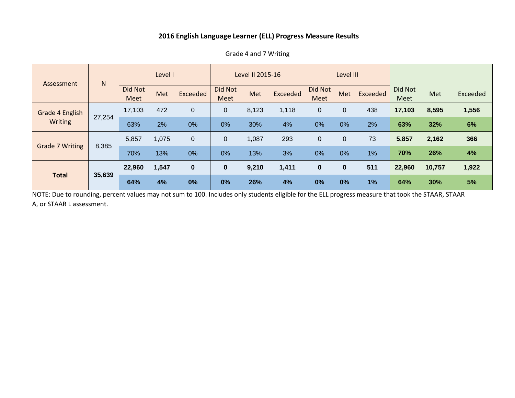| Assessment                 | N      | Level I                |       |          | Level II 2015-16              |       |          |                               | Level III   |          |                 |        |          |
|----------------------------|--------|------------------------|-------|----------|-------------------------------|-------|----------|-------------------------------|-------------|----------|-----------------|--------|----------|
|                            |        | <b>Did Not</b><br>Meet | Met   | Exceeded | <b>Did Not</b><br><b>Meet</b> | Met   | Exceeded | <b>Did Not</b><br><b>Meet</b> | Met         | Exceeded | Did Not<br>Meet | Met    | Exceeded |
| Grade 4 English<br>Writing | 27,254 | 17,103                 | 472   | 0        | $\boldsymbol{0}$              | 8,123 | 1,118    | $\mathbf 0$                   | $\pmb{0}$   | 438      | 17,103          | 8,595  | 1,556    |
|                            |        | 63%                    | 2%    | 0%       | 0%                            | 30%   | 4%       | 0%                            | 0%          | 2%       | 63%             | 32%    | 6%       |
|                            |        | 5,857                  | 1,075 | 0        | 0                             | 1,087 | 293      | $\mathbf{0}$                  | $\mathbf 0$ | 73       | 5,857           | 2,162  | 366      |
| <b>Grade 7 Writing</b>     | 8,385  | 70%                    | 13%   | 0%       | 0%                            | 13%   | 3%       | 0%                            | 0%          | 1%       | 70%             | 26%    | 4%       |
| <b>Total</b>               | 35,639 | 22,960                 | 1,547 | 0        | $\bf{0}$                      | 9,210 | 1,411    | $\mathbf 0$                   | $\bf{0}$    | 511      | 22,960          | 10,757 | 1,922    |
|                            |        | 64%                    | 4%    | 0%       | 0%                            | 26%   | 4%       | 0%                            | 0%          | 1%       | 64%             | 30%    | 5%       |

Grade 4 and 7 Writing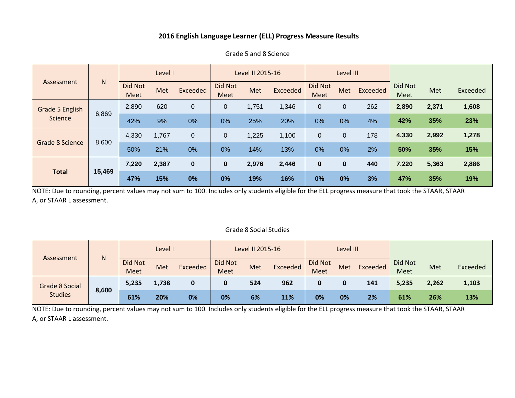|                                     | $\mathsf{N}$ | Level I         |       |          | Level II 2015-16       |       |                 |                        | Level III    |          |                        |       |          |
|-------------------------------------|--------------|-----------------|-------|----------|------------------------|-------|-----------------|------------------------|--------------|----------|------------------------|-------|----------|
| Assessment                          |              | Did Not<br>Meet | Met   | Exceeded | Did Not<br><b>Meet</b> | Met   | <b>Exceeded</b> | <b>Did Not</b><br>Meet | <b>Met</b>   | Exceeded | <b>Did Not</b><br>Meet | Met   | Exceeded |
| Grade 5 English<br>6,869<br>Science |              | 2,890           | 620   | 0        | 0                      | 1,751 | 1,346           | $\mathbf 0$            | $\mathbf{0}$ | 262      | 2,890                  | 2,371 | 1,608    |
|                                     |              | 42%             | 9%    | 0%       | 0%                     | 25%   | 20%             | 0%                     | 0%           | 4%       | 42%                    | 35%   | 23%      |
| <b>Grade 8 Science</b><br>8,600     |              | 4,330           | 1,767 | 0        | 0                      | 1,225 | 1,100           | $\overline{0}$         | $\mathbf 0$  | 178      | 4,330                  | 2,992 | 1,278    |
|                                     |              | 50%             | 21%   | 0%       | 0%                     | 14%   | 13%             | 0%                     | 0%           | 2%       | 50%                    | 35%   | 15%      |
| <b>Total</b>                        | 15,469       | 7,220           | 2,387 | 0        | $\bf{0}$               | 2,976 | 2,446           | $\bf{0}$               | $\bf{0}$     | 440      | 7,220                  | 5,363 | 2,886    |
|                                     |              | 47%             | 15%   | 0%       | 0%                     | 19%   | 16%             | 0%                     | 0%           | 3%       | 47%                    | 35%   | 19%      |

Grade 5 and 8 Science

NOTE: Due to rounding, percent values may not sum to 100. Includes only students eligible for the ELL progress measure that took the STAAR, STAAR A, or STAAR L assessment.

#### Grade 8 Social Studies

| N<br>Assessment                         |       | Level I                       |       |          | Level II 2015-16       |     |          |                 | Level III |          |                 |       |          |
|-----------------------------------------|-------|-------------------------------|-------|----------|------------------------|-----|----------|-----------------|-----------|----------|-----------------|-------|----------|
|                                         |       | <b>Did Not</b><br><b>Meet</b> | Met   | Exceeded | Did Not<br><b>Meet</b> | Met | Exceeded | Did Not<br>Meet | Met       | Exceeded | Did Not<br>Meet | Met   | Exceeded |
| <b>Grade 8 Social</b><br><b>Studies</b> | 8,600 | 5,235                         | 1,738 | 0        |                        | 524 | 962      | 0               |           | 141      | 5,235           | 2,262 | 1,103    |
|                                         |       | 61%                           | 20%   | 0%       | 0%                     | 6%  | 11%      | 0%              | 0%        | 2%       | 61%             | 26%   | 13%      |